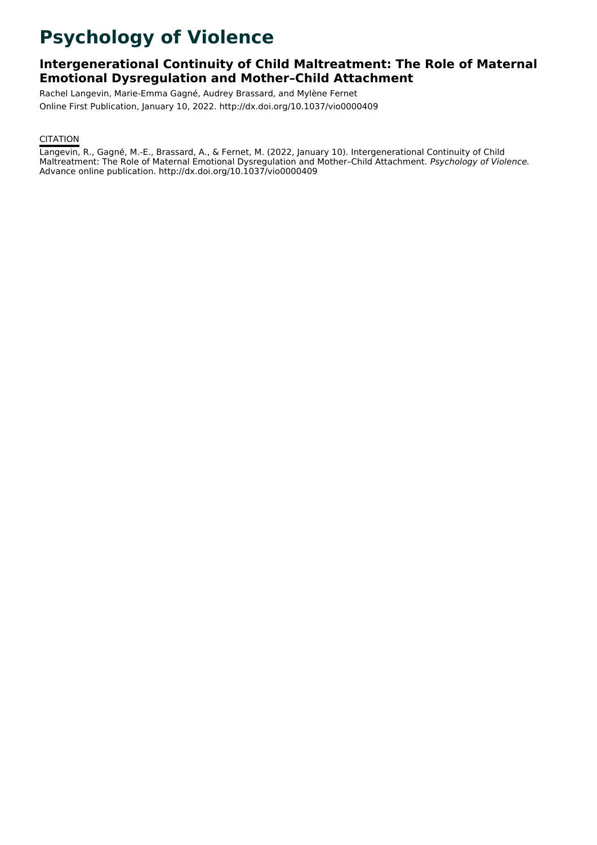# **Psychology of Violence**

# **Intergenerational Continuity of Child Maltreatment: The Role of Maternal Emotional Dysregulation and Mother–Child Attachment**

Rachel Langevin, Marie-Emma Gagné, Audrey Brassard, and Mylène Fernet Online First Publication, January 10, 2022. http://dx.doi.org/10.1037/vio0000409

# **CITATION**

Langevin, R., Gagné, M.-E., Brassard, A., & Fernet, M. (2022, January 10). Intergenerational Continuity of Child Maltreatment: The Role of Maternal Emotional Dysregulation and Mother-Child Attachment. Psychology of Violence. Advance online publication. http://dx.doi.org/10.1037/vio0000409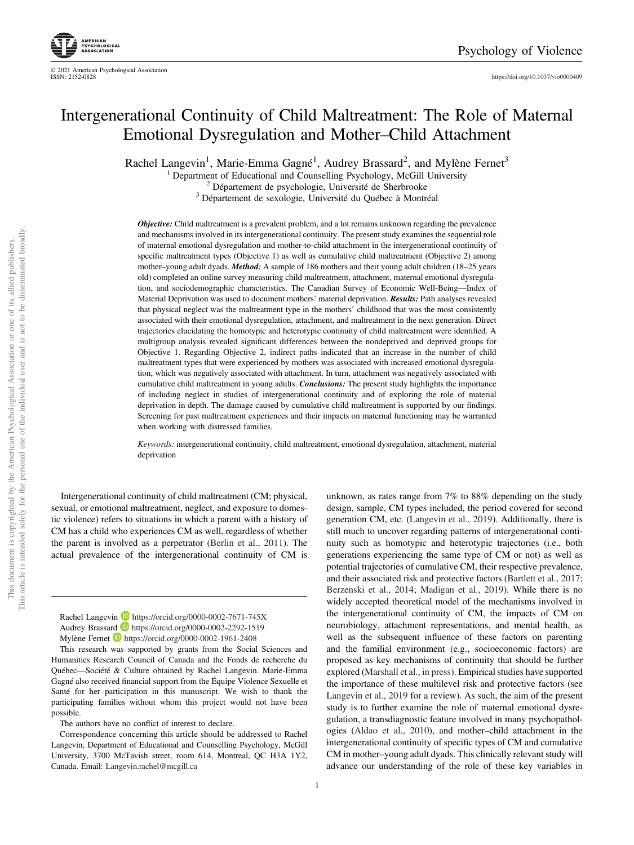<https://doi.org/10.1037/vio0000409>

# Intergenerational Continuity of Child Maltreatment: The Role of Maternal Emotional Dysregulation and Mother–Child Attachment

Rachel Langevin<sup>1</sup>, Marie-Emma Gagné<sup>1</sup>, Audrey Brassard<sup>2</sup>, and Mylène Fernet<sup>3</sup>

<sup>1</sup> Department of Educational and Counselling Psychology, McGill University <sup>2</sup> Département de psychologie, Université de Sherbrooke  $3$  Département de sexologie, Université du Québec à Montréal

**Objective:** Child maltreatment is a prevalent problem, and a lot remains unknown regarding the prevalence and mechanisms involved in its intergenerational continuity. The present study examines the sequential role of maternal emotional dysregulation and mother-to-child attachment in the intergenerational continuity of specific maltreatment types (Objective 1) as well as cumulative child maltreatment (Objective 2) among mother–young adult dyads. **Method:** A sample of 186 mothers and their young adult children (18–25 years old) completed an online survey measuring child maltreatment, attachment, maternal emotional dysregulation, and sociodemographic characteristics. The Canadian Survey of Economic Well-Being—Index of Material Deprivation was used to document mothers' material deprivation. Results: Path analyses revealed that physical neglect was the maltreatment type in the mothers' childhood that was the most consistently associated with their emotional dysregulation, attachment, and maltreatment in the next generation. Direct trajectories elucidating the homotypic and heterotypic continuity of child maltreatment were identified. A multigroup analysis revealed significant differences between the nondeprived and deprived groups for Objective 1. Regarding Objective 2, indirect paths indicated that an increase in the number of child maltreatment types that were experienced by mothers was associated with increased emotional dysregulation, which was negatively associated with attachment. In turn, attachment was negatively associated with cumulative child maltreatment in young adults. Conclusions: The present study highlights the importance of including neglect in studies of intergenerational continuity and of exploring the role of material deprivation in depth. The damage caused by cumulative child maltreatment is supported by our findings. Screening for past maltreatment experiences and their impacts on maternal functioning may be warranted when working with distressed families.

Keywords: intergenerational continuity, child maltreatment, emotional dysregulation, attachment, material deprivation

Intergenerational continuity of child maltreatment (CM; physical, sexual, or emotional maltreatment, neglect, and exposure to domestic violence) refers to situations in which a parent with a history of CM has a child who experiences CM as well, regardless of whether the parent is involved as a perpetrator (Berlin et al., 2011). The actual prevalence of the intergenerational continuity of CM is

This research was supported by grants from the Social Sciences and Humanities Research Council of Canada and the Fonds de recherche du Québec—Société & Culture obtained by Rachel Langevin. Marie-Emma Gagné also received financial support from the Équipe Violence Sexuelle et Santé for her participation in this manuscript. We wish to thank the participating families without whom this project would not have been possible.

The authors have no conflict of interest to declare.

Correspondence concerning this article should be addressed to Rachel Langevin, Department of Educational and Counselling Psychology, McGill University, 3700 McTavish street, room 614, Montreal, QC H3A 1Y2, Canada. Email: [Langevin.rachel@mcgill.ca](mailto:Langevin.rachel@mcgill.ca)

unknown, as rates range from 7% to 88% depending on the study design, sample, CM types included, the period covered for second generation CM, etc. (Langevin et al., 2019). Additionally, there is still much to uncover regarding patterns of intergenerational continuity such as homotypic and heterotypic trajectories (i.e., both generations experiencing the same type of CM or not) as well as potential trajectories of cumulative CM, their respective prevalence, and their associated risk and protective factors (Bartlett et al., 2017; Berzenski et al., 2014; Madigan et al., 2019). While there is no widely accepted theoretical model of the mechanisms involved in the intergenerational continuity of CM, the impacts of CM on neurobiology, attachment representations, and mental health, as well as the subsequent influence of these factors on parenting and the familial environment (e.g., socioeconomic factors) are proposed as key mechanisms of continuity that should be further explored (Marshall et al., in press). Empirical studies have supported the importance of these multilevel risk and protective factors (see Langevin et al., 2019 for a review). As such, the aim of the present study is to further examine the role of maternal emotional dysregulation, a transdiagnostic feature involved in many psychopathologies (Aldao et al., 2010), and mother–child attachment in the intergenerational continuity of specific types of CM and cumulative CM in mother–young adult dyads. This clinically relevant study will advance our understanding of the role of these key variables in

Rachel Langevin D <https://orcid.org/0000-0002-7671-745X> Audrey Brassard **b** <https://orcid.org/0000-0002-2292-1519> Mylène Fernet **<https://orcid.org/0000-0002-1961-2408>**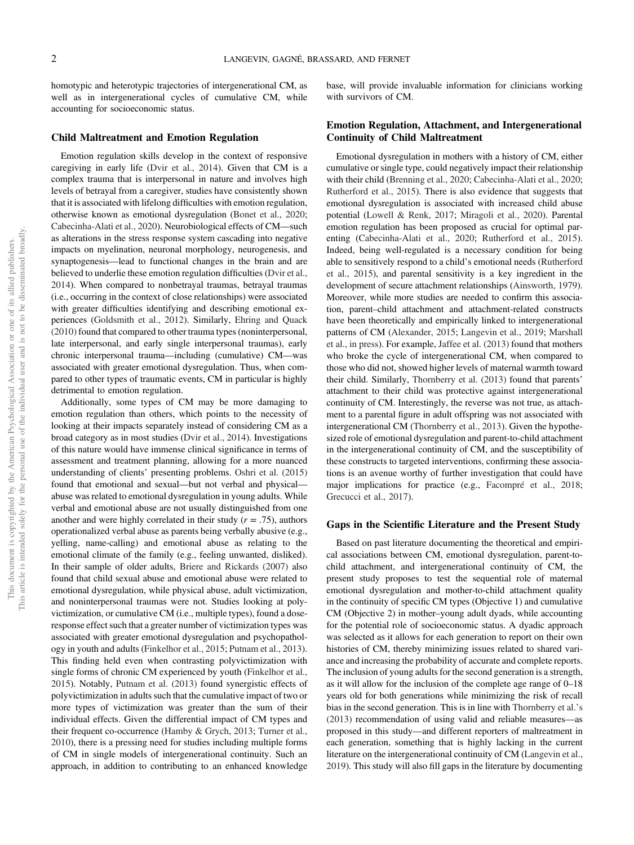homotypic and heterotypic trajectories of intergenerational CM, as well as in intergenerational cycles of cumulative CM, while accounting for socioeconomic status.

#### Child Maltreatment and Emotion Regulation

Emotion regulation skills develop in the context of responsive caregiving in early life (Dvir et al., 2014). Given that CM is a complex trauma that is interpersonal in nature and involves high levels of betrayal from a caregiver, studies have consistently shown that it is associated with lifelong difficulties with emotion regulation, otherwise known as emotional dysregulation (Bonet et al., 2020; Cabecinha-Alati et al., 2020). Neurobiological effects of CM—such as alterations in the stress response system cascading into negative impacts on myelination, neuronal morphology, neurogenesis, and synaptogenesis—lead to functional changes in the brain and are believed to underlie these emotion regulation difficulties (Dvir et al., 2014). When compared to nonbetrayal traumas, betrayal traumas (i.e., occurring in the context of close relationships) were associated with greater difficulties identifying and describing emotional experiences (Goldsmith et al., 2012). Similarly, Ehring and Quack (2010) found that compared to other trauma types (noninterpersonal, late interpersonal, and early single interpersonal traumas), early chronic interpersonal trauma—including (cumulative) CM—was associated with greater emotional dysregulation. Thus, when compared to other types of traumatic events, CM in particular is highly detrimental to emotion regulation.

Additionally, some types of CM may be more damaging to emotion regulation than others, which points to the necessity of looking at their impacts separately instead of considering CM as a broad category as in most studies (Dvir et al., 2014). Investigations of this nature would have immense clinical significance in terms of assessment and treatment planning, allowing for a more nuanced understanding of clients' presenting problems. Oshri et al. (2015) found that emotional and sexual—but not verbal and physical abuse was related to emotional dysregulation in young adults. While verbal and emotional abuse are not usually distinguished from one another and were highly correlated in their study  $(r = .75)$ , authors operationalized verbal abuse as parents being verbally abusive (e.g., yelling, name-calling) and emotional abuse as relating to the emotional climate of the family (e.g., feeling unwanted, disliked). In their sample of older adults, Briere and Rickards (2007) also found that child sexual abuse and emotional abuse were related to emotional dysregulation, while physical abuse, adult victimization, and noninterpersonal traumas were not. Studies looking at polyvictimization, or cumulative CM (i.e., multiple types), found a doseresponse effect such that a greater number of victimization types was associated with greater emotional dysregulation and psychopathology in youth and adults (Finkelhor et al., 2015; Putnam et al., 2013). This finding held even when contrasting polyvictimization with single forms of chronic CM experienced by youth (Finkelhor et al., 2015). Notably, Putnam et al. (2013) found synergistic effects of polyvictimization in adults such that the cumulative impact of two or more types of victimization was greater than the sum of their individual effects. Given the differential impact of CM types and their frequent co-occurrence (Hamby & Grych, 2013; Turner et al., 2010), there is a pressing need for studies including multiple forms of CM in single models of intergenerational continuity. Such an approach, in addition to contributing to an enhanced knowledge base, will provide invaluable information for clinicians working with survivors of CM.

# Emotion Regulation, Attachment, and Intergenerational Continuity of Child Maltreatment

Emotional dysregulation in mothers with a history of CM, either cumulative or single type, could negatively impact their relationship with their child (Brenning et al., 2020; Cabecinha-Alati et al., 2020; Rutherford et al., 2015). There is also evidence that suggests that emotional dysregulation is associated with increased child abuse potential ([Lowell & Renk, 2017](#page-11-0); [Miragoli et al., 2020](#page-12-0)). Parental emotion regulation has been proposed as crucial for optimal parenting (Cabecinha-Alati et al., 2020; Rutherford et al., 2015). Indeed, being well-regulated is a necessary condition for being able to sensitively respond to a child's emotional needs (Rutherford et al., 2015), and parental sensitivity is a key ingredient in the development of secure attachment relationships (Ainsworth, 1979). Moreover, while more studies are needed to confirm this association, parent–child attachment and attachment-related constructs have been theoretically and empirically linked to intergenerational patterns of CM (Alexander, 2015; Langevin et al., 2019; Marshall et al., in press). For example, Jaffee et al. (2013) found that mothers who broke the cycle of intergenerational CM, when compared to those who did not, showed higher levels of maternal warmth toward their child. Similarly, Thornberry et al. (2013) found that parents' attachment to their child was protective against intergenerational continuity of CM. Interestingly, the reverse was not true, as attachment to a parental figure in adult offspring was not associated with intergenerational CM (Thornberry et al., 2013). Given the hypothesized role of emotional dysregulation and parent-to-child attachment in the intergenerational continuity of CM, and the susceptibility of these constructs to targeted interventions, confirming these associations is an avenue worthy of further investigation that could have major implications for practice (e.g., Facompré et al., 2018; Grecucci et al., 2017).

### Gaps in the Scientific Literature and the Present Study

Based on past literature documenting the theoretical and empirical associations between CM, emotional dysregulation, parent-tochild attachment, and intergenerational continuity of CM, the present study proposes to test the sequential role of maternal emotional dysregulation and mother-to-child attachment quality in the continuity of specific CM types (Objective 1) and cumulative CM (Objective 2) in mother–young adult dyads, while accounting for the potential role of socioeconomic status. A dyadic approach was selected as it allows for each generation to report on their own histories of CM, thereby minimizing issues related to shared variance and increasing the probability of accurate and complete reports. The inclusion of young adults for the second generation is a strength, as it will allow for the inclusion of the complete age range of 0–18 years old for both generations while minimizing the risk of recall bias in the second generation. This is in line with Thornberry et al.'s (2013) recommendation of using valid and reliable measures—as proposed in this study—and different reporters of maltreatment in each generation, something that is highly lacking in the current literature on the intergenerational continuity of CM (Langevin et al., 2019). This study will also fill gaps in the literature by documenting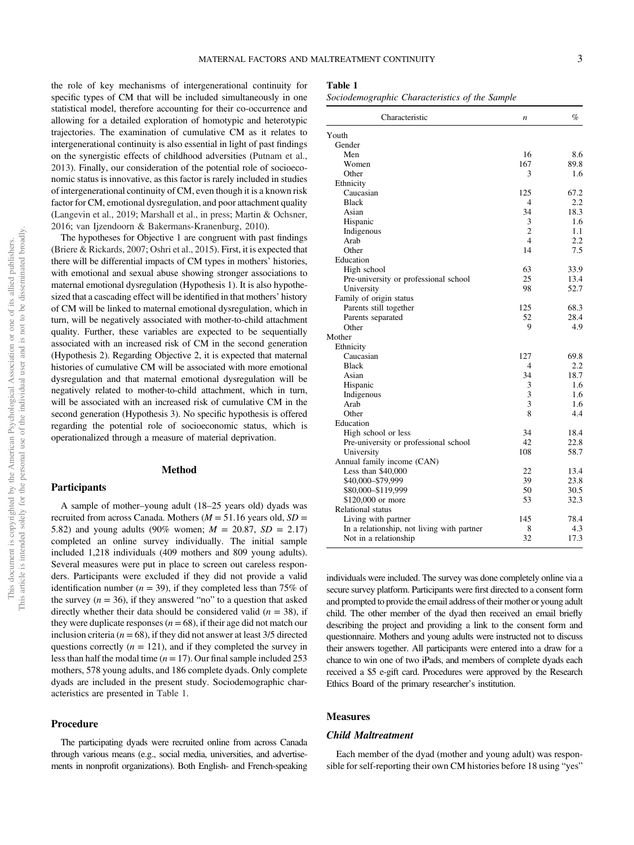the role of key mechanisms of intergenerational continuity for specific types of CM that will be included simultaneously in one statistical model, therefore accounting for their co-occurrence and allowing for a detailed exploration of homotypic and heterotypic trajectories. The examination of cumulative CM as it relates to intergenerational continuity is also essential in light of past findings on the synergistic effects of childhood adversities (Putnam et al., 2013). Finally, our consideration of the potential role of socioeconomic status is innovative, as this factor is rarely included in studies of intergenerational continuity of CM, even though it is a known risk factor for CM, emotional dysregulation, and poor attachment quality (Langevin et al., 2019; Marshall et al., in press; [Martin & Ochsner,](#page-12-0) [2016;](#page-12-0) van Ijzendoorn & Bakermans-Kranenburg, 2010).

The hypotheses for Objective 1 are congruent with past findings (Briere & Rickards, 2007; Oshri et al., 2015). First, it is expected that there will be differential impacts of CM types in mothers' histories, with emotional and sexual abuse showing stronger associations to maternal emotional dysregulation (Hypothesis 1). It is also hypothesized that a cascading effect will be identified in that mothers' history of CM will be linked to maternal emotional dysregulation, which in turn, will be negatively associated with mother-to-child attachment quality. Further, these variables are expected to be sequentially associated with an increased risk of CM in the second generation (Hypothesis 2). Regarding Objective 2, it is expected that maternal histories of cumulative CM will be associated with more emotional dysregulation and that maternal emotional dysregulation will be negatively related to mother-to-child attachment, which in turn, will be associated with an increased risk of cumulative CM in the second generation (Hypothesis 3). No specific hypothesis is offered regarding the potential role of socioeconomic status, which is operationalized through a measure of material deprivation.

### Method

A sample of mother–young adult (18–25 years old) dyads was recruited from across Canada. Mothers ( $M = 51.16$  years old,  $SD =$ 5.82) and young adults (90% women;  $M = 20.87$ ,  $SD = 2.17$ ) completed an online survey individually. The initial sample included 1,218 individuals (409 mothers and 809 young adults). Several measures were put in place to screen out careless responders. Participants were excluded if they did not provide a valid identification number ( $n = 39$ ), if they completed less than 75% of the survey  $(n = 36)$ , if they answered "no" to a question that asked directly whether their data should be considered valid ( $n = 38$ ), if they were duplicate responses ( $n = 68$ ), if their age did not match our inclusion criteria ( $n = 68$ ), if they did not answer at least 3/5 directed questions correctly  $(n = 121)$ , and if they completed the survey in less than half the modal time ( $n = 17$ ). Our final sample included 253 mothers, 578 young adults, and 186 complete dyads. Only complete dyads are included in the present study. Sociodemographic characteristics are presented in Table 1.

#### Procedure

Participants

The participating dyads were recruited online from across Canada through various means (e.g., social media, universities, and advertisements in nonprofit organizations). Both English- and French-speaking

| <b>Table</b> |  |
|--------------|--|
|--------------|--|

Sociodemographic Characteristics of the Sample

| Characteristic                             | $\boldsymbol{n}$        | $\%$ |
|--------------------------------------------|-------------------------|------|
| Youth                                      |                         |      |
| Gender                                     |                         |      |
| Men                                        | 16                      | 8.6  |
| Women                                      | 167                     | 89.8 |
| Other                                      | 3                       | 1.6  |
| Ethnicity                                  |                         |      |
| Caucasian                                  | 125                     | 67.2 |
| <b>Black</b>                               | 4                       | 2.2  |
| Asian                                      | 34                      | 18.3 |
| Hispanic                                   | 3                       | 1.6  |
| Indigenous                                 | $\overline{2}$          | 1.1  |
| Arab                                       | $\overline{\mathbf{4}}$ | 2.2  |
| Other                                      | 14                      | 7.5  |
| Education                                  |                         |      |
| High school                                | 63                      | 33.9 |
| Pre-university or professional school      | 25                      | 13.4 |
| University                                 | 98                      | 52.7 |
| Family of origin status                    |                         |      |
| Parents still together                     | 125                     | 68.3 |
| Parents separated                          | 52                      | 28.4 |
| Other                                      | 9                       | 4.9  |
| Mother                                     |                         |      |
| Ethnicity                                  |                         |      |
| Caucasian                                  | 127                     | 69.8 |
| <b>Black</b>                               | 4                       | 2.2  |
| Asian                                      | 34                      | 18.7 |
| Hispanic                                   | 3                       | 1.6  |
| Indigenous                                 | 3                       | 1.6  |
| Arab                                       | 3                       | 1.6  |
| Other                                      | 8                       | 4.4  |
| Education                                  |                         |      |
| High school or less                        | 34                      | 18.4 |
| Pre-university or professional school      | 42                      | 22.8 |
| University                                 | 108                     | 58.7 |
| Annual family income (CAN)                 |                         |      |
| Less than \$40,000                         | 22                      | 13.4 |
| \$40,000-\$79,999                          | 39                      | 23.8 |
| \$80,000-\$119,999                         | 50                      | 30.5 |
| \$120,000 or more                          | 53                      | 32.3 |
| Relational status                          |                         |      |
| Living with partner                        | 145                     | 78.4 |
| In a relationship, not living with partner | 8                       | 4.3  |
| Not in a relationship                      | 32                      | 17.3 |

individuals were included. The survey was done completely online via a secure survey platform. Participants were first directed to a consent form and prompted to provide the email address of their mother or young adult child. The other member of the dyad then received an email briefly describing the project and providing a link to the consent form and questionnaire. Mothers and young adults were instructed not to discuss their answers together. All participants were entered into a draw for a chance to win one of two iPads, and members of complete dyads each received a \$5 e-gift card. Procedures were approved by the Research Ethics Board of the primary researcher's institution.

# **Measures**

### Child Maltreatment

Each member of the dyad (mother and young adult) was responsible for self-reporting their own CM histories before 18 using "yes"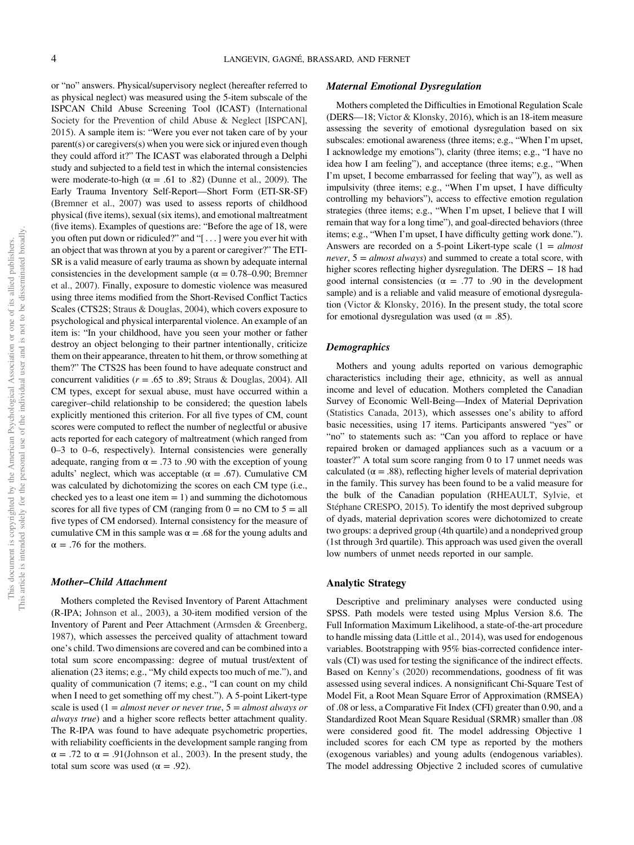or "no" answers. Physical/supervisory neglect (hereafter referred to as physical neglect) was measured using the 5-item subscale of the ISPCAN Child Abuse Screening Tool (ICAST) (International Society for the Prevention of child Abuse & Neglect [ISPCAN], 2015). A sample item is: "Were you ever not taken care of by your parent(s) or caregivers(s) when you were sick or injured even though they could afford it?" The ICAST was elaborated through a Delphi study and subjected to a field test in which the internal consistencies were moderate-to-high ( $\alpha = .61$  to .82) (Dunne et al., 2009). The Early Trauma Inventory Self-Report—Short Form (ETI-SR-SF) (Bremner et al., 2007) was used to assess reports of childhood physical (five items), sexual (six items), and emotional maltreatment (five items). Examples of questions are: "Before the age of 18, were you often put down or ridiculed?" and "[...] were you ever hit with an object that was thrown at you by a parent or caregiver?" The ETI-SR is a valid measure of early trauma as shown by adequate internal consistencies in the development sample ( $\alpha = 0.78{\text -}0.90$ ; Bremner et al., 2007). Finally, exposure to domestic violence was measured using three items modified from the Short-Revised Conflict Tactics Scales (CTS2S; Straus & Douglas, 2004), which covers exposure to psychological and physical interparental violence. An example of an item is: "In your childhood, have you seen your mother or father destroy an object belonging to their partner intentionally, criticize them on their appearance, threaten to hit them, or throw something at them?" The CTS2S has been found to have adequate construct and concurrent validities ( $r = .65$  to .89; Straus & Douglas, 2004). All CM types, except for sexual abuse, must have occurred within a caregiver–child relationship to be considered; the question labels explicitly mentioned this criterion. For all five types of CM, count scores were computed to reflect the number of neglectful or abusive acts reported for each category of maltreatment (which ranged from 0–3 to 0–6, respectively). Internal consistencies were generally adequate, ranging from  $\alpha = .73$  to .90 with the exception of young adults' neglect, which was acceptable ( $\alpha = .67$ ). Cumulative CM was calculated by dichotomizing the scores on each CM type (i.e., checked yes to a least one item  $= 1$ ) and summing the dichotomous scores for all five types of CM (ranging from  $0 =$  no CM to  $5 =$  all five types of CM endorsed). Internal consistency for the measure of cumulative CM in this sample was  $\alpha = .68$  for the young adults and  $\alpha = .76$  for the mothers.

#### Mother–Child Attachment

Mothers completed the Revised Inventory of Parent Attachment (R-IPA; Johnson et al., 2003), a 30-item modified version of the Inventory of Parent and Peer Attachment (Armsden & Greenberg, 1987), which assesses the perceived quality of attachment toward one's child. Two dimensions are covered and can be combined into a total sum score encompassing: degree of mutual trust/extent of alienation (23 items; e.g., "My child expects too much of me."), and quality of communication (7 items; e.g., "I can count on my child when I need to get something off my chest."). A 5-point Likert-type scale is used  $(1 = almost never or never true, 5 = almost always or$ always true) and a higher score reflects better attachment quality. The R-IPA was found to have adequate psychometric properties, with reliability coefficients in the development sample ranging from  $\alpha = .72$  to  $\alpha = .91$ (Johnson et al., 2003). In the present study, the total sum score was used ( $\alpha = .92$ ).

# Maternal Emotional Dysregulation

Mothers completed the Difficulties in Emotional Regulation Scale (DERS—18; Victor & Klonsky, 2016), which is an 18-item measure assessing the severity of emotional dysregulation based on six subscales: emotional awareness (three items; e.g., "When I'm upset, I acknowledge my emotions"), clarity (three items; e.g., "I have no idea how I am feeling"), and acceptance (three items; e.g., "When I'm upset, I become embarrassed for feeling that way"), as well as impulsivity (three items; e.g., "When I'm upset, I have difficulty controlling my behaviors"), access to effective emotion regulation strategies (three items; e.g., "When I'm upset, I believe that I will remain that way for a long time"), and goal-directed behaviors (three items; e.g., "When I'm upset, I have difficulty getting work done."). Answers are recorded on a 5-point Likert-type scale  $(1 = almost$ *never*,  $5 = almost always$  and summed to create a total score, with higher scores reflecting higher dysregulation. The DERS − 18 had good internal consistencies ( $\alpha$  = .77 to .90 in the development sample) and is a reliable and valid measure of emotional dysregulation (Victor & Klonsky, 2016). In the present study, the total score for emotional dysregulation was used ( $\alpha = .85$ ).

### **Demographics**

Mothers and young adults reported on various demographic characteristics including their age, ethnicity, as well as annual income and level of education. Mothers completed the Canadian Survey of Economic Well-Being—Index of Material Deprivation (Statistics Canada, 2013), which assesses one's ability to afford basic necessities, using 17 items. Participants answered "yes" or "no" to statements such as: "Can you afford to replace or have repaired broken or damaged appliances such as a vacuum or a toaster?" A total sum score ranging from 0 to 17 unmet needs was calculated ( $\alpha = .88$ ), reflecting higher levels of material deprivation in the family. This survey has been found to be a valid measure for the bulk of the Canadian population (RHEAULT, Sylvie, et Stéphane CRESPO, 2015). To identify the most deprived subgroup of dyads, material deprivation scores were dichotomized to create two groups: a deprived group (4th quartile) and a nondeprived group (1st through 3rd quartile). This approach was used given the overall low numbers of unmet needs reported in our sample.

#### Analytic Strategy

Descriptive and preliminary analyses were conducted using SPSS. Path models were tested using Mplus Version 8.6. The Full Information Maximum Likelihood, a state-of-the-art procedure to handle missing data (Little et al., 2014), was used for endogenous variables. Bootstrapping with 95% bias-corrected confidence intervals (CI) was used for testing the significance of the indirect effects. Based on Kenny's (2020) recommendations, goodness of fit was assessed using several indices. A nonsignificant Chi-Square Test of Model Fit, a Root Mean Square Error of Approximation (RMSEA) of .08 or less, a Comparative Fit Index (CFI) greater than 0.90, and a Standardized Root Mean Square Residual (SRMR) smaller than .08 were considered good fit. The model addressing Objective 1 included scores for each CM type as reported by the mothers (exogenous variables) and young adults (endogenous variables). The model addressing Objective 2 included scores of cumulative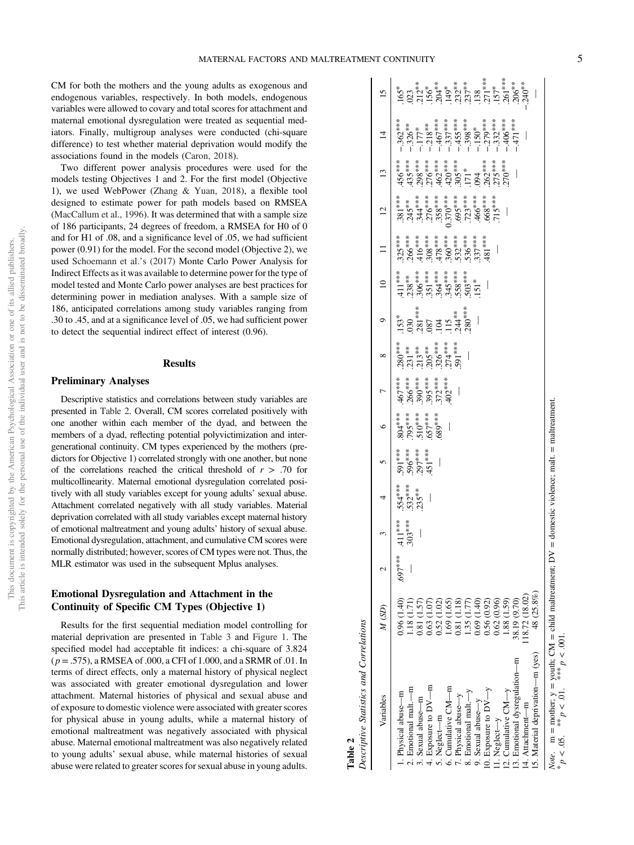CM for both the mothers and the young adults as exogenous and endogenous variables, respectively. In both models, endogenous variables were allowed to covary and total scores for attachment and maternal emotional dysregulation were treated as sequential mediators. Finally, multigroup analyses were conducted (chi-square difference) to test whether material deprivation would modify the associations found in the models (Caron, 2018).

Two different power analysis procedures were used for the models testing Objectives 1 and 2. For the first model (Objective 1), we used WebPower (Zhang & Yuan, 2018), a flexible tool designed to estimate power for path models based on RMSEA (MacCallum et al., 1996). It was determined that with a sample size of 186 participants, 24 degrees of freedom, a RMSEA for H0 of 0 and for H1 of .08, and a significance level of .05, we had sufficient power (0.91) for the model. For the second model (Objective 2), we used Schoemann et al.'s (2017) Monte Carlo Power Analysis for Indirect Effects as it was available to determine power for the type of model tested and Monte Carlo power analyses are best practices for determining power in mediation analyses. With a sample size of 186, anticipated correlations among study variables ranging from .30 to .45, and at a significance level of .05, we had sufficient power to detect the sequential indirect effect of interest (0.96).

#### **Results**

# Preliminary Analyses

Descriptive statistics and correlations between study variables are presented in Table 2. Overall, CM scores correlated positively with one another within each member of the dyad, and between the members of a dyad, reflecting potential polyvictimization and intergenerational continuity. CM types experienced by the mothers (predictors for Objective 1) correlated strongly with one another, but none of the correlations reached the critical threshold of  $r > .70$  for multicollinearity. Maternal emotional dysregulation correlated positively with all study variables except for young adults' sexual abuse. Attachment correlated negatively with all study variables. Material deprivation correlated with all study variables except maternal history of emotional maltreatment and young adults' history of sexual abuse. Emotional dysregulation, attachment, and cumulative CM scores were normally distributed; however, scores of CM types were not. Thus, the MLR estimator was used in the subsequent Mplus analyses.

# Emotional Dysregulation and Attachment in the Continuity of Specific CM Types (Objective 1)

Results for the first sequential mediation model controlling for material deprivation are presented in [Table 3](#page-6-0) and [Figure 1](#page-6-0). The specified model had acceptable fit indices: a chi-square of 3.824  $(p = .575)$ , a RMSEA of .000, a CFI of 1.000, and a SRMR of .01. In terms of direct effects, only a maternal history of physical neglect was associated with greater emotional dysregulation and lower attachment. Maternal histories of physical and sexual abuse and of exposure to domestic violence were associated with greater scores for physical abuse in young adults, while a maternal history of emotional maltreatment was negatively associated with physical abuse. Maternal emotional maltreatment was also negatively related to young adults' sexual abuse, while maternal histories of sexual abuse were related to greater scores for sexual abuse in young adults.

| Descriptive Statistics and Correlations                                                                                                                                                                                                                                                                                                                            |                                                                                                                                                                                                                                           |        |                      |                                  |                                                  |                                                               |                                                                                                                                    |                                                                              |                                                                                                                                                                                         |                                                                                                                                                                                                                                                                                                                                                                                                     |                                                                                                                                                                                                                                  |                                                                                                                                                                                                                                                                                                                                                                           |                                                                                                                                                                                                                                                                                                                                                                                                       |  |
|--------------------------------------------------------------------------------------------------------------------------------------------------------------------------------------------------------------------------------------------------------------------------------------------------------------------------------------------------------------------|-------------------------------------------------------------------------------------------------------------------------------------------------------------------------------------------------------------------------------------------|--------|----------------------|----------------------------------|--------------------------------------------------|---------------------------------------------------------------|------------------------------------------------------------------------------------------------------------------------------------|------------------------------------------------------------------------------|-----------------------------------------------------------------------------------------------------------------------------------------------------------------------------------------|-----------------------------------------------------------------------------------------------------------------------------------------------------------------------------------------------------------------------------------------------------------------------------------------------------------------------------------------------------------------------------------------------------|----------------------------------------------------------------------------------------------------------------------------------------------------------------------------------------------------------------------------------|---------------------------------------------------------------------------------------------------------------------------------------------------------------------------------------------------------------------------------------------------------------------------------------------------------------------------------------------------------------------------|-------------------------------------------------------------------------------------------------------------------------------------------------------------------------------------------------------------------------------------------------------------------------------------------------------------------------------------------------------------------------------------------------------|--|
| Variables                                                                                                                                                                                                                                                                                                                                                          | M(SD)                                                                                                                                                                                                                                     |        |                      | 4                                | $\mathbf{v}$                                     | $\circ$                                                       | $\infty$                                                                                                                           | $\circ$                                                                      | $\approx$                                                                                                                                                                               |                                                                                                                                                                                                                                                                                                                                                                                                     | $\overline{c}$                                                                                                                                                                                                                   | $\mathbf{r}$                                                                                                                                                                                                                                                                                                                                                              | $\overline{4}$                                                                                                                                                                                                                                                                                                                                                                                        |  |
| 15. Material deprivation---m (yes)<br>13. Emotional dysregulation-m<br>4. Exposure to $DY$ —m<br>2. Emotional malt.---m<br>6. Cumulative CM--m<br>0. Exposure to $DY-y$<br>12. Cumulative $CM-y$<br>8. Emotional malt-y<br>. Physical abuse-m<br>7. Physical abuse-y<br>3. Sexual abuse-m<br>9. Sexual abuse-y<br>14. Attachment-m<br>5. Neglect-m<br>1. Neglect-y | 48 (25.8%)<br>18.72 (18.02)<br>88.19 (9.70)<br>0.96 (1.40)<br>1.69 (1.65)<br>0.62 (0.96)<br>$(.88 \; (1.59)$<br>0.81 (1.57)<br>1.02<br>0.81 (1.18)<br>$1.35(1.77)$<br>0.69 $(1.40)$<br>0.56 (0.92)<br>1.07<br>(18(1.71)<br>0.63(<br>0.52( | 697*** | $.411***$<br>303**** | $.554***$<br>$.532***$<br>.235** | $-591***$<br>$-596***$<br>$-297***$<br>$-451***$ | $.804***$<br>$.795***$<br>$.510***$<br>$.510***$<br>$.657***$ | $\begin{array}{l} 280^{***} \\ 231^{**} \\ 213^{**} \\ 215^{**} \\ 205^{**} \\ 206^{***} \\ 274^{***} \\ 274^{***} \\ \end{array}$ | $153^*$<br>$030$<br>$030$<br>$087$<br>$115$<br>$044**$<br>$044**$<br>$044**$ | $\begin{array}{l} 411^{***} \\ 238^{***} \\ 236^{***} \\ 306^{***} \\ 351^{***} \\ 354^{***} \\ 364^{***} \\ 503^{***} \\ 503^{***} \\ 503^{***} \\ 503^{***} \\ 503^{***} \end{array}$ | $\begin{array}{l} 325^{***} \\ 266^{***} \\ -416^{***} \\ -308^{***} \\ -360^{***} \\ -360^{***} \\ -350^{***} \\ -350^{***} \\ -350^{***} \\ -350^{***} \\ -350^{***} \\ -350^{***} \\ -350^{***} \\ -350^{***} \\ -350^{***} \\ -350^{***} \\ -350^{***} \\ -350^{***} \\ -350^{***} \\ -350^{***} \\ -350^{***} \\ -350^{***} \\ -350^{***} \\ -350^{***} \\ -350^{***} \\ -350^{***} \\ -350^{$ | e dirigit de la college de la college de la college de la college de la college de la college de la college de<br>1844 : le college de la college de la college de la college de la college de la college de la college de la co | $\begin{matrix} 4.35^{***} \\ 2.98^{***} \\ 2.98^{***} \\ 2.99^{***} \\ 2.99^{***} \\ 2.99^{***} \\ 2.99^{***} \\ 2.99^{***} \\ 2.99^{***} \\ 2.99^{***} \\ 2.99^{***} \\ 2.99^{***} \\ 2.99^{***} \\ 2.99^{***} \\ 2.99^{***} \\ 2.99^{***} \\ 2.99^{***} \\ 2.99^{***} \\ 2.99^{***} \\ 2.99^{***} \\ 2.99^{***} \\ 2.99^{***} \\ 2.99^{***} \\ 2.99^{***}$<br>$456***$ | $\begin{array}{r} -362^{***} \\ -326^{***} \\ -177^{***} \\ -184^{***} \\ -185^{***} \\ -195^{***} \\ -195^{***} \\ -195^{***} \\ -195^{***} \\ -195^{***} \\ -195^{***} \\ -195^{***} \\ -195^{***} \\ -195^{***} \\ -195^{***} \\ -195^{***} \\ -195^{***} \\ -195^{***} \\ -195^{***} \\ -195^{***} \\ -195^{***} \\ -195^{***} \\ -195^{***} \\ -195^{***} \\ -195^{***} \\ -195^{***} \\ -195^{$ |  |
|                                                                                                                                                                                                                                                                                                                                                                    |                                                                                                                                                                                                                                           |        |                      |                                  |                                                  |                                                               |                                                                                                                                    |                                                                              |                                                                                                                                                                                         |                                                                                                                                                                                                                                                                                                                                                                                                     |                                                                                                                                                                                                                                  |                                                                                                                                                                                                                                                                                                                                                                           |                                                                                                                                                                                                                                                                                                                                                                                                       |  |

Table 2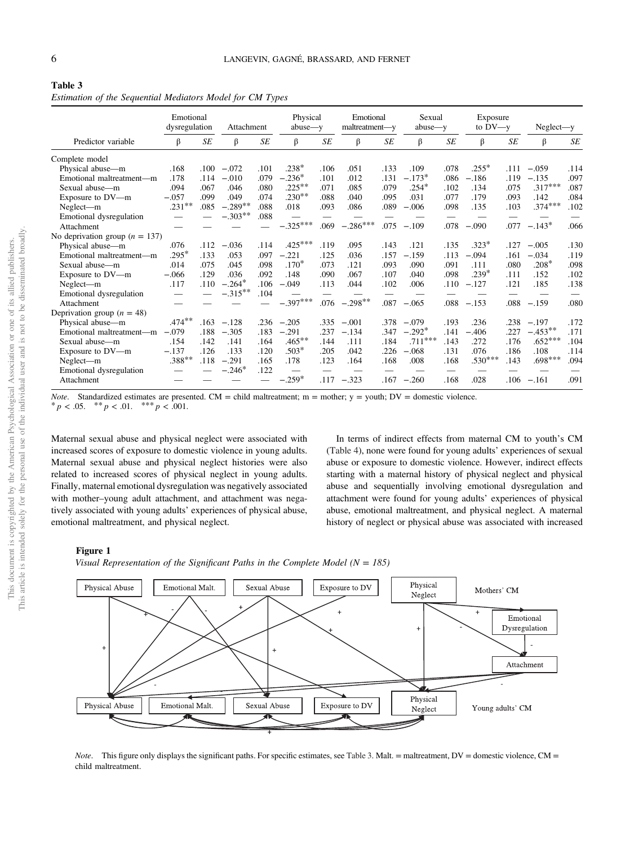# <span id="page-6-0"></span>Table 3 Estimation of the Sequential Mediators Model for CM Types

|                                    | Emotional<br>dysregulation |      | Attachment |      | Physical<br>$abuse - y$ |           | Emotional<br>maltreatment-y |           | Sexual<br>$abuse - y$ |      | Exposure<br>to $DV - y$ |           | $Neglect-v$ |           |
|------------------------------------|----------------------------|------|------------|------|-------------------------|-----------|-----------------------------|-----------|-----------------------|------|-------------------------|-----------|-------------|-----------|
| Predictor variable                 | β                          | SE   | β          | SE   | β                       | <b>SE</b> | β                           | $\cal SE$ | β                     | SE   | β                       | <b>SE</b> | β           | <b>SE</b> |
| Complete model                     |                            |      |            |      |                         |           |                             |           |                       |      |                         |           |             |           |
| Physical abuse-m                   | .168                       | .100 | $-.072$    | .101 | $.238*$                 | .106      | .051                        | .133      | .109                  | .078 | $.255*$                 | .111      | $-.059$     | .114      |
| Emotional maltreatment-m           | .178                       | .114 | $-.010$    | .079 | $-.236*$                | .101      | .012                        | .131      | $-.173*$              | .086 | $-.186$                 | .119      | $-.135$     | .097      |
| Sexual abuse-m                     | .094                       | .067 | .046       | .080 | $.225***$               | .071      | .085                        | .079      | $.254*$               | .102 | .134                    | .075      | $.317***$   | .087      |
| Exposure to DV-m                   | $-.057$                    | .099 | .049       | .074 | $.230**$                | .088      | .040                        | .095      | .031                  | .077 | .179                    | .093      | .142        | .084      |
| Neglect-m                          | $.231***$                  | .085 | $-.289**$  | .088 | .018                    | .093      | .086                        | .089      | $-.006$               | .098 | .135                    | .103      | $.374***$   | .102      |
| Emotional dysregulation            |                            |      | $-.303**$  | .088 |                         |           |                             |           |                       |      |                         |           |             |           |
| Attachment                         |                            |      |            |      | $-.325***$              | .069      | $-.286***$                  | .075      | $-.109$               | .078 | $-.090$                 | .077      | $-.143*$    | .066      |
| No deprivation group ( $n = 137$ ) |                            |      |            |      |                         |           |                             |           |                       |      |                         |           |             |           |
| Physical abuse-m                   | .076                       | .112 | $-.036$    | .114 | $.425***$               | .119      | .095                        | .143      | .121                  | .135 | $.323*$                 | .127      | $-.005$     | .130      |
| Emotional maltreatment-m           | $.295*$                    | .133 | .053       | .097 | $-.221$                 | .125      | .036                        | .157      | $-.159$               | .113 | $-.094$                 | .161      | $-.034$     | .119      |
| Sexual abuse-m                     | .014                       | .075 | .045       | .098 | $.170*$                 | .073      | .121                        | .093      | .090                  | .091 | .111                    | .080      | $.208*$     | .098      |
| Exposure to DV-m                   | $-.066$                    | .129 | .036       | .092 | .148                    | .090      | .067                        | .107      | .040                  | .098 | $.239*$                 | .111      | .152        | .102      |
| Neglect-m                          | .117                       | .110 | $-.264*$   | .106 | $-.049$                 | .113      | .044                        | .102      | .006                  | .110 | $-.127$                 | .121      | .185        | .138      |
| Emotional dysregulation            |                            |      | $-.315***$ | .104 |                         |           |                             |           |                       |      |                         |           |             |           |
| Attachment                         |                            |      |            |      | $-.397***$              | .076      | $-.298**$                   | .087      | $-.065$               | .088 | $-.153$                 | .088      | $-.159$     | .080      |
| Deprivation group ( $n = 48$ )     |                            |      |            |      |                         |           |                             |           |                       |      |                         |           |             |           |
| Physical abuse-m                   | $.474***$                  | .163 | $-.128$    | .236 | $-.205$                 | .335      | $-.001$                     | .378      | $-.079$               | .193 | .236                    | .238      | $-.197$     | .172      |
| Emotional maltreatment-m           | $-.079$                    | .188 | $-.305$    | .183 | $-.291$                 | .237      | $-.134$                     | .347      | $-.292*$              | .141 | $-.406$                 | .227      | $-.453**$   | .171      |
| Sexual abuse—m                     | .154                       | .142 | .141       | .164 | $.465***$               | .144      | .111                        | .184      | $.711***$             | .143 | .272                    | .176      | $.652***$   | .104      |
| Exposure to DV-m                   | $-.137$                    | .126 | .133       | .120 | $.503*$                 | .205      | .042                        | 226       | $-.068$               | .131 | .076                    | .186      | .108        | .114      |
| Neglect-m                          | $.388***$                  | .118 | $-.291$    | .165 | .178                    | .123      | .164                        | .168      | .008                  | .168 | $.530***$               | .143      | $.698***$   | .094      |
| Emotional dysregulation            |                            |      | $-.246*$   | .122 |                         |           |                             |           |                       |      |                         |           |             |           |
| Attachment                         |                            |      |            |      | $259*$                  | .117      | $-.323$                     | .167      | $-.260$               | .168 | .028                    | .106      | $-.161$     | .091      |

*Note.* Standardized estimates are presented. CM = child maltreatment; m = mother; y = youth; DV = domestic violence. \* p < .05. \*\* p < .01. \*\*\* p < .001.

Maternal sexual abuse and physical neglect were associated with increased scores of exposure to domestic violence in young adults. Maternal sexual abuse and physical neglect histories were also related to increased scores of physical neglect in young adults. Finally, maternal emotional dysregulation was negatively associated with mother–young adult attachment, and attachment was negatively associated with young adults' experiences of physical abuse, emotional maltreatment, and physical neglect.

In terms of indirect effects from maternal CM to youth's CM ([Table 4\)](#page-7-0), none were found for young adults' experiences of sexual abuse or exposure to domestic violence. However, indirect effects starting with a maternal history of physical neglect and physical abuse and sequentially involving emotional dysregulation and attachment were found for young adults' experiences of physical abuse, emotional maltreatment, and physical neglect. A maternal history of neglect or physical abuse was associated with increased

# Figure 1

Visual Representation of the Significant Paths in the Complete Model ( $N = 185$ )



Note. This figure only displays the significant paths. For specific estimates, see Table 3. Malt. = maltreatment, DV = domestic violence, CM = child maltreatment.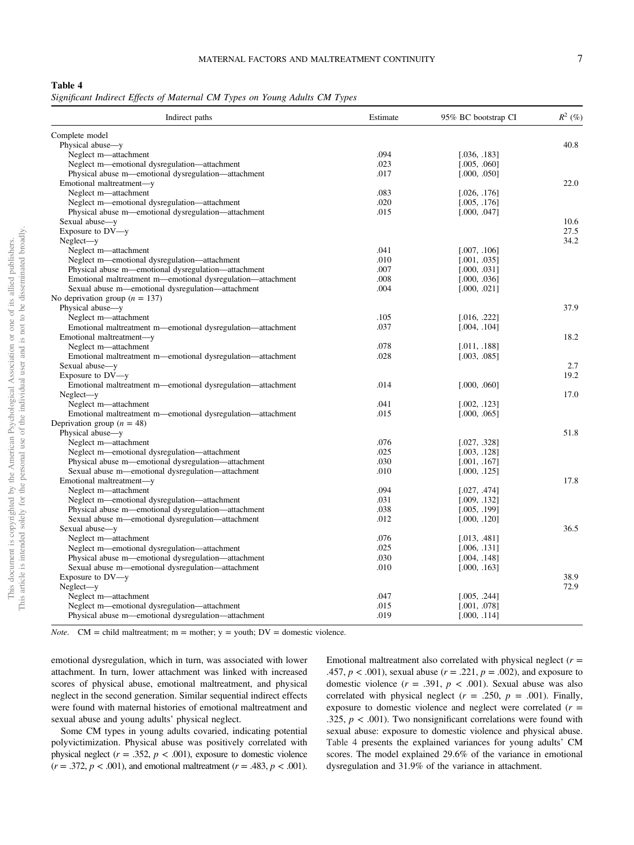<span id="page-7-0"></span>Significant Indirect Effects of Maternal CM Types on Young Adults CM Types

| Indirect paths                                              | Estimate | 95% BC bootstrap CI | $R^2$ (%) |
|-------------------------------------------------------------|----------|---------------------|-----------|
| Complete model                                              |          |                     |           |
| Physical abuse-y                                            |          |                     | 40.8      |
| Neglect m-attachment                                        | .094     | [.036, .183]        |           |
| Neglect m—emotional dysregulation—attachment                | .023     | [.005, .060]        |           |
| Physical abuse m—emotional dysregulation—attachment         | .017     | [.000, .050]        |           |
| Emotional maltreatment-y                                    |          |                     | 22.0      |
| Neglect m-attachment                                        | .083     | [.026, .176]        |           |
| Neglect m—emotional dysregulation—attachment                | .020     | [.005, .176]        |           |
| Physical abuse m—emotional dysregulation—attachment         | .015     | [.000, .047]        |           |
| Sexual abuse-y                                              |          |                     | 10.6      |
| Exposure to DV-y                                            |          |                     | 27.5      |
| $Neglect - y$                                               |          |                     | 34.2      |
| Neglect m-attachment                                        | .041     | [.007, .106]        |           |
| Neglect m-emotional dysregulation-attachment                | .010     | [.001, .035]        |           |
| Physical abuse m—emotional dysregulation—attachment         | .007     | [.000, .031]        |           |
| Emotional maltreatment m—emotional dysregulation—attachment | .008     | [.000, .036]        |           |
| Sexual abuse m—emotional dysregulation—attachment           | .004     | [.000, .021]        |           |
| No deprivation group ( $n = 137$ )                          |          |                     |           |
| Physical abuse-y                                            |          |                     | 37.9      |
| Neglect m-attachment                                        | .105     | [.016, .222]        |           |
| Emotional maltreatment m—emotional dysregulation—attachment | .037     | [.004, .104]        |           |
| Emotional maltreatment-y                                    |          |                     | 18.2      |
| Neglect m-attachment                                        | .078     | [.011, .188]        |           |
| Emotional maltreatment m—emotional dysregulation—attachment | .028     | [.003, .085]        |           |
| Sexual abuse-y                                              |          |                     | 2.7       |
| Exposure to DV-y                                            |          |                     | 19.2      |
| Emotional maltreatment m-emotional dysregulation-attachment | .014     | [.000, .060]        |           |
| Neglect-y                                                   |          |                     | 17.0      |
| Neglect m-attachment                                        | .041     | [.002, .123]        |           |
| Emotional maltreatment m—emotional dysregulation—attachment | .015     | [.000, .065]        |           |
| Deprivation group ( $n = 48$ )                              |          |                     |           |
| Physical abuse-y                                            |          |                     | 51.8      |
| Neglect m-attachment                                        | .076     | [.027, .328]        |           |
| Neglect m—emotional dysregulation—attachment                | .025     | [.003, .128]        |           |
| Physical abuse m—emotional dysregulation—attachment         | .030     | [.001, .167]        |           |
| Sexual abuse m—emotional dysregulation—attachment           | .010     | [.000, .125]        |           |
| Emotional maltreatment-y                                    |          |                     | 17.8      |
| Neglect m-attachment                                        | .094     | [.027, .474]        |           |
| Neglect m—emotional dysregulation—attachment                | .031     | [.009, .132]        |           |
| Physical abuse m—emotional dysregulation—attachment         | .038     | [.005, .199]        |           |
| Sexual abuse m—emotional dysregulation—attachment           | .012     | [.000, .120]        |           |
| Sexual abuse-y                                              |          |                     | 36.5      |
| Neglect m-attachment                                        | .076     | [.013, .481]        |           |
| Neglect m-emotional dysregulation-attachment                | .025     | [.006, .131]        |           |
| Physical abuse m—emotional dysregulation—attachment         | .030     | [.004, .148]        |           |
| Sexual abuse m—emotional dysregulation—attachment           | .010     | [.000, .163]        |           |
|                                                             |          |                     | 38.9      |
| Exposure to DV-y<br>$Neglect - y$                           |          |                     | 72.9      |
| Neglect m-attachment                                        | .047     | [.005, .244]        |           |
| Neglect m—emotional dysregulation—attachment                | .015     | [.001, .078]        |           |
|                                                             | .019     |                     |           |
| Physical abuse m—emotional dysregulation—attachment         |          | [.000, .114]        |           |

*Note.* CM = child maltreatment;  $m =$  mother;  $y =$  youth;  $DV =$  domestic violence.

emotional dysregulation, which in turn, was associated with lower attachment. In turn, lower attachment was linked with increased scores of physical abuse, emotional maltreatment, and physical neglect in the second generation. Similar sequential indirect effects were found with maternal histories of emotional maltreatment and sexual abuse and young adults' physical neglect.

Some CM types in young adults covaried, indicating potential polyvictimization. Physical abuse was positively correlated with physical neglect ( $r = .352$ ,  $p < .001$ ), exposure to domestic violence  $(r = .372, p < .001)$ , and emotional maltreatment  $(r = .483, p < .001)$ . Emotional maltreatment also correlated with physical neglect  $(r =$ .457,  $p < .001$ ), sexual abuse ( $r = .221$ ,  $p = .002$ ), and exposure to domestic violence  $(r = .391, p < .001)$ . Sexual abuse was also correlated with physical neglect  $(r = .250, p = .001)$ . Finally, exposure to domestic violence and neglect were correlated  $(r =$ .325,  $p < .001$ ). Two nonsignificant correlations were found with sexual abuse: exposure to domestic violence and physical abuse. Table 4 presents the explained variances for young adults' CM scores. The model explained 29.6% of the variance in emotional dysregulation and 31.9% of the variance in attachment.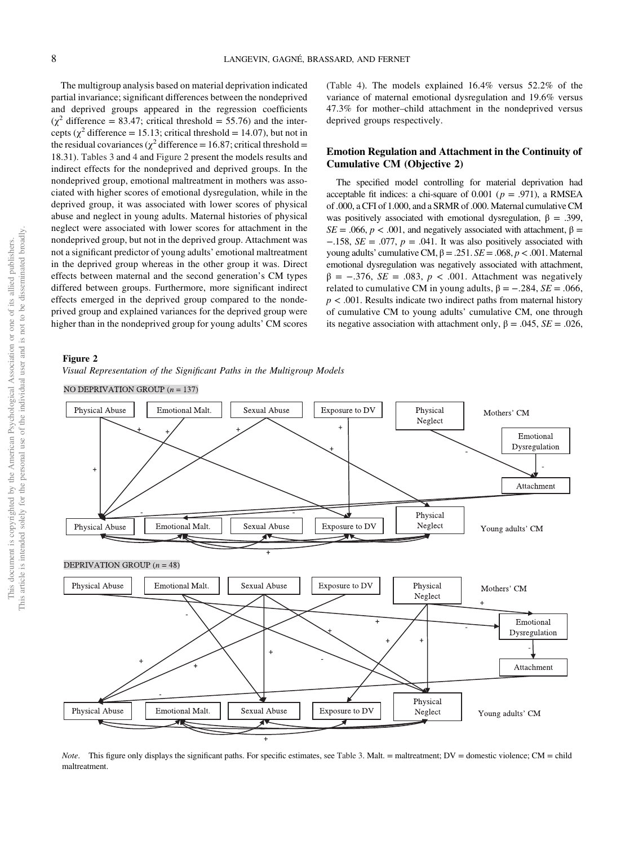The multigroup analysis based on material deprivation indicated partial invariance; significant differences between the nondeprived and deprived groups appeared in the regression coefficients  $(\chi^2)$  difference = 83.47; critical threshold = 55.76) and the intercepts ( $\chi^2$  difference = 15.13; critical threshold = 14.07), but not in the residual covariances ( $\chi^2$  difference = 16.87; critical threshold = 18.31). [Tables 3](#page-6-0) and [4](#page-7-0) and Figure 2 present the models results and indirect effects for the nondeprived and deprived groups. In the nondeprived group, emotional maltreatment in mothers was associated with higher scores of emotional dysregulation, while in the deprived group, it was associated with lower scores of physical abuse and neglect in young adults. Maternal histories of physical neglect were associated with lower scores for attachment in the nondeprived group, but not in the deprived group. Attachment was not a significant predictor of young adults' emotional maltreatment in the deprived group whereas in the other group it was. Direct effects between maternal and the second generation's CM types differed between groups. Furthermore, more significant indirect effects emerged in the deprived group compared to the nondeprived group and explained variances for the deprived group were higher than in the nondeprived group for young adults' CM scores ([Table 4\)](#page-7-0). The models explained 16.4% versus 52.2% of the variance of maternal emotional dysregulation and 19.6% versus 47.3% for mother–child attachment in the nondeprived versus deprived groups respectively.

# Emotion Regulation and Attachment in the Continuity of Cumulative CM (Objective 2)

The specified model controlling for material deprivation had acceptable fit indices: a chi-square of 0.001 ( $p = .971$ ), a RMSEA of .000, a CFI of 1.000, and a SRMR of .000. Maternal cumulative CM was positively associated with emotional dysregulation,  $\beta = .399$ , SE = .066,  $p < .001$ , and negatively associated with attachment, β =  $-158$ ,  $SE = .077$ ,  $p = .041$ . It was also positively associated with young adults' cumulative CM,  $β = .251$ .  $SE = .068$ ,  $p < .001$ . Maternal emotional dysregulation was negatively associated with attachment,  $β = -.376$ ,  $SE = .083$ ,  $p < .001$ . Attachment was negatively related to cumulative CM in young adults,  $β = -.284$ ,  $SE = .066$ ,  $p < .001$ . Results indicate two indirect paths from maternal history of cumulative CM to young adults' cumulative CM, one through its negative association with attachment only,  $\beta = .045$ ,  $SE = .026$ ,

# Figure 2

Visual Representation of the Significant Paths in the Multigroup Models

NO DEPRIVATION GROUP  $(n = 137)$ 



Note. This figure only displays the significant paths. For specific estimates, see [Table 3.](#page-6-0) Malt. = maltreatment; DV = domestic violence; CM = child maltreatment.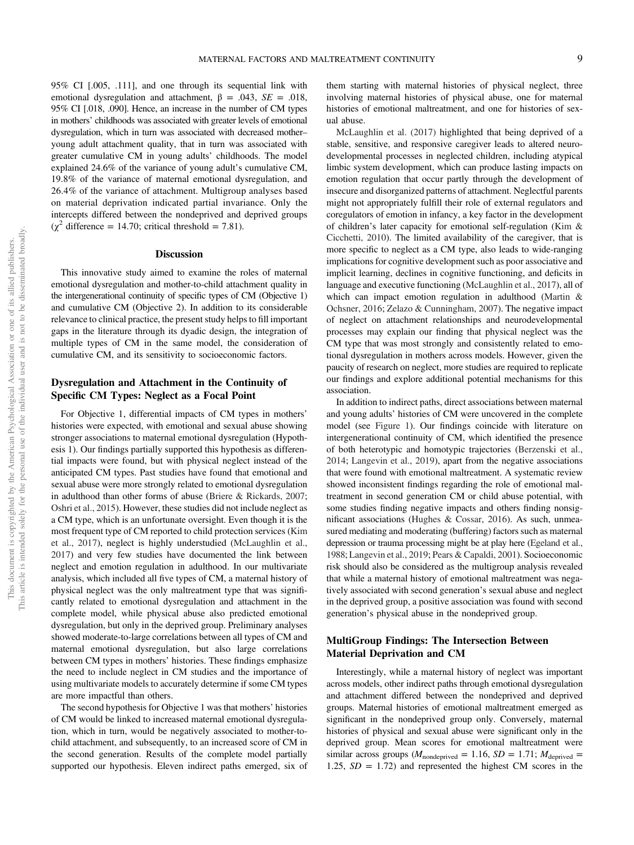them starting with maternal histories of physical neglect, three involving maternal histories of physical abuse, one for maternal

emotional dysregulation and attachment,  $β = .043$ ,  $SE = .018$ , 95% CI [.018, .090]. Hence, an increase in the number of CM types in mothers' childhoods was associated with greater levels of emotional dysregulation, which in turn was associated with decreased mother– young adult attachment quality, that in turn was associated with greater cumulative CM in young adults' childhoods. The model explained 24.6% of the variance of young adult's cumulative CM, 19.8% of the variance of maternal emotional dysregulation, and 26.4% of the variance of attachment. Multigroup analyses based on material deprivation indicated partial invariance. Only the intercepts differed between the nondeprived and deprived groups  $(\chi^2$  difference = 14.70; critical threshold = 7.81). histories of emotional maltreatment, and one for histories of sexual abuse.

# **Discussion**

95% CI [.005, .111], and one through its sequential link with

This innovative study aimed to examine the roles of maternal emotional dysregulation and mother-to-child attachment quality in the intergenerational continuity of specific types of CM (Objective 1) and cumulative CM (Objective 2). In addition to its considerable relevance to clinical practice, the present study helps to fill important gaps in the literature through its dyadic design, the integration of multiple types of CM in the same model, the consideration of cumulative CM, and its sensitivity to socioeconomic factors.

# Dysregulation and Attachment in the Continuity of Specific CM Types: Neglect as a Focal Point

For Objective 1, differential impacts of CM types in mothers' histories were expected, with emotional and sexual abuse showing stronger associations to maternal emotional dysregulation (Hypothesis 1). Our findings partially supported this hypothesis as differential impacts were found, but with physical neglect instead of the anticipated CM types. Past studies have found that emotional and sexual abuse were more strongly related to emotional dysregulation in adulthood than other forms of abuse (Briere & Rickards, 2007; Oshri et al., 2015). However, these studies did not include neglect as a CM type, which is an unfortunate oversight. Even though it is the most frequent type of CM reported to child protection services (Kim et al., 2017), neglect is highly understudied (McLaughlin et al., 2017) and very few studies have documented the link between neglect and emotion regulation in adulthood. In our multivariate analysis, which included all five types of CM, a maternal history of physical neglect was the only maltreatment type that was significantly related to emotional dysregulation and attachment in the complete model, while physical abuse also predicted emotional dysregulation, but only in the deprived group. Preliminary analyses showed moderate-to-large correlations between all types of CM and maternal emotional dysregulation, but also large correlations between CM types in mothers' histories. These findings emphasize the need to include neglect in CM studies and the importance of using multivariate models to accurately determine if some CM types are more impactful than others.

The second hypothesis for Objective 1 was that mothers' histories of CM would be linked to increased maternal emotional dysregulation, which in turn, would be negatively associated to mother-tochild attachment, and subsequently, to an increased score of CM in the second generation. Results of the complete model partially supported our hypothesis. Eleven indirect paths emerged, six of

McLaughlin et al. (2017) highlighted that being deprived of a stable, sensitive, and responsive caregiver leads to altered neurodevelopmental processes in neglected children, including atypical limbic system development, which can produce lasting impacts on emotion regulation that occur partly through the development of insecure and disorganized patterns of attachment. Neglectful parents might not appropriately fulfill their role of external regulators and coregulators of emotion in infancy, a key factor in the development of children's later capacity for emotional self-regulation (Kim & Cicchetti, 2010). The limited availability of the caregiver, that is more specific to neglect as a CM type, also leads to wide-ranging implications for cognitive development such as poor associative and implicit learning, declines in cognitive functioning, and deficits in language and executive functioning (McLaughlin et al., 2017), all of which can impact emotion regulation in adulthood ([Martin &](#page-12-0) [Ochsner, 2016](#page-12-0); Zelazo & Cunningham, 2007). The negative impact of neglect on attachment relationships and neurodevelopmental processes may explain our finding that physical neglect was the CM type that was most strongly and consistently related to emotional dysregulation in mothers across models. However, given the paucity of research on neglect, more studies are required to replicate our findings and explore additional potential mechanisms for this association.

In addition to indirect paths, direct associations between maternal and young adults' histories of CM were uncovered in the complete model (see [Figure 1\)](#page-6-0). Our findings coincide with literature on intergenerational continuity of CM, which identified the presence of both heterotypic and homotypic trajectories (Berzenski et al., 2014; Langevin et al., 2019), apart from the negative associations that were found with emotional maltreatment. A systematic review showed inconsistent findings regarding the role of emotional maltreatment in second generation CM or child abuse potential, with some studies finding negative impacts and others finding nonsignificant associations (Hughes & Cossar, 2016). As such, unmeasured mediating and moderating (buffering) factors such as maternal depression or trauma processing might be at play here (Egeland et al., 1988; Langevin et al., 2019; Pears & Capaldi, 2001). Socioeconomic risk should also be considered as the multigroup analysis revealed that while a maternal history of emotional maltreatment was negatively associated with second generation's sexual abuse and neglect in the deprived group, a positive association was found with second generation's physical abuse in the nondeprived group.

# MultiGroup Findings: The Intersection Between Material Deprivation and CM

Interestingly, while a maternal history of neglect was important across models, other indirect paths through emotional dysregulation and attachment differed between the nondeprived and deprived groups. Maternal histories of emotional maltreatment emerged as significant in the nondeprived group only. Conversely, maternal histories of physical and sexual abuse were significant only in the deprived group. Mean scores for emotional maltreatment were similar across groups ( $M_{nondeprived}$  = 1.16,  $SD = 1.71$ ;  $M_{deprived}$  = 1.25,  $SD = 1.72$ ) and represented the highest CM scores in the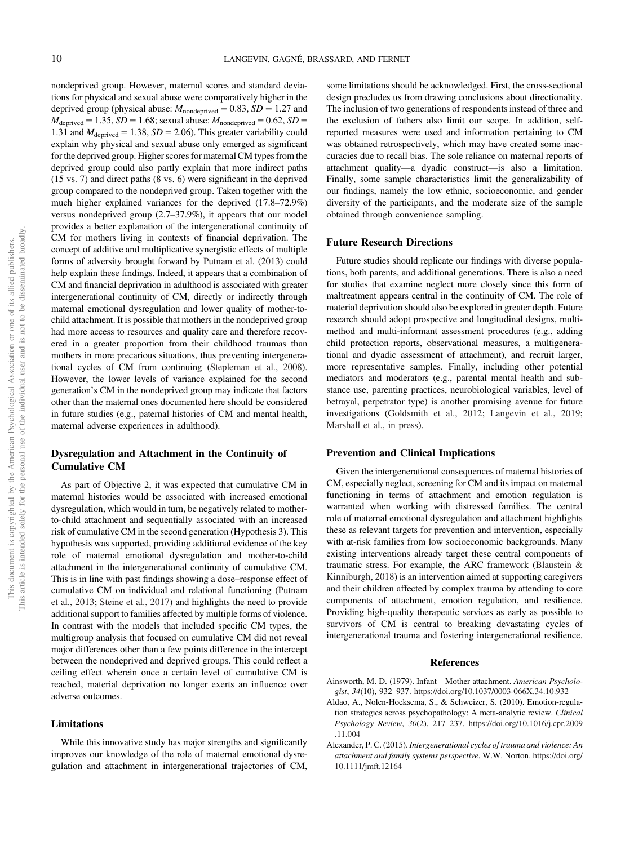nondeprived group. However, maternal scores and standard deviations for physical and sexual abuse were comparatively higher in the deprived group (physical abuse:  $M_{\text{nondeprived}} = 0.83$ ,  $SD = 1.27$  and  $M_{\text{deprived}} = 1.35$ ,  $SD = 1.68$ ; sexual abuse:  $M_{\text{nondeprived}} = 0.62$ ,  $SD =$ 1.31 and  $M_{\text{deprived}} = 1.38$ ,  $SD = 2.06$ ). This greater variability could explain why physical and sexual abuse only emerged as significant for the deprived group. Higher scores for maternal CM types from the deprived group could also partly explain that more indirect paths (15 vs. 7) and direct paths (8 vs. 6) were significant in the deprived group compared to the nondeprived group. Taken together with the much higher explained variances for the deprived (17.8–72.9%) versus nondeprived group (2.7–37.9%), it appears that our model provides a better explanation of the intergenerational continuity of CM for mothers living in contexts of financial deprivation. The concept of additive and multiplicative synergistic effects of multiple forms of adversity brought forward by Putnam et al. (2013) could help explain these findings. Indeed, it appears that a combination of CM and financial deprivation in adulthood is associated with greater intergenerational continuity of CM, directly or indirectly through maternal emotional dysregulation and lower quality of mother-tochild attachment. It is possible that mothers in the nondeprived group had more access to resources and quality care and therefore recovered in a greater proportion from their childhood traumas than mothers in more precarious situations, thus preventing intergenerational cycles of CM from continuing (Stepleman et al., 2008). However, the lower levels of variance explained for the second generation's CM in the nondeprived group may indicate that factors other than the maternal ones documented here should be considered in future studies (e.g., paternal histories of CM and mental health, maternal adverse experiences in adulthood).

# Dysregulation and Attachment in the Continuity of Cumulative CM

As part of Objective 2, it was expected that cumulative CM in maternal histories would be associated with increased emotional dysregulation, which would in turn, be negatively related to motherto-child attachment and sequentially associated with an increased risk of cumulative CM in the second generation (Hypothesis 3). This hypothesis was supported, providing additional evidence of the key role of maternal emotional dysregulation and mother-to-child attachment in the intergenerational continuity of cumulative CM. This is in line with past findings showing a dose–response effect of cumulative CM on individual and relational functioning (Putnam et al., 2013; Steine et al., 2017) and highlights the need to provide additional support to families affected by multiple forms of violence. In contrast with the models that included specific CM types, the multigroup analysis that focused on cumulative CM did not reveal major differences other than a few points difference in the intercept between the nondeprived and deprived groups. This could reflect a ceiling effect wherein once a certain level of cumulative CM is reached, material deprivation no longer exerts an influence over adverse outcomes.

### Limitations

While this innovative study has major strengths and significantly improves our knowledge of the role of maternal emotional dysregulation and attachment in intergenerational trajectories of CM,

some limitations should be acknowledged. First, the cross-sectional design precludes us from drawing conclusions about directionality. The inclusion of two generations of respondents instead of three and the exclusion of fathers also limit our scope. In addition, selfreported measures were used and information pertaining to CM was obtained retrospectively, which may have created some inaccuracies due to recall bias. The sole reliance on maternal reports of attachment quality—a dyadic construct—is also a limitation. Finally, some sample characteristics limit the generalizability of our findings, namely the low ethnic, socioeconomic, and gender diversity of the participants, and the moderate size of the sample obtained through convenience sampling.

#### Future Research Directions

Future studies should replicate our findings with diverse populations, both parents, and additional generations. There is also a need for studies that examine neglect more closely since this form of maltreatment appears central in the continuity of CM. The role of material deprivation should also be explored in greater depth. Future research should adopt prospective and longitudinal designs, multimethod and multi-informant assessment procedures (e.g., adding child protection reports, observational measures, a multigenerational and dyadic assessment of attachment), and recruit larger, more representative samples. Finally, including other potential mediators and moderators (e.g., parental mental health and substance use, parenting practices, neurobiological variables, level of betrayal, perpetrator type) is another promising avenue for future investigations (Goldsmith et al., 2012; Langevin et al., 2019; Marshall et al., in press).

# Prevention and Clinical Implications

Given the intergenerational consequences of maternal histories of CM, especially neglect, screening for CM and its impact on maternal functioning in terms of attachment and emotion regulation is warranted when working with distressed families. The central role of maternal emotional dysregulation and attachment highlights these as relevant targets for prevention and intervention, especially with at-risk families from low socioeconomic backgrounds. Many existing interventions already target these central components of traumatic stress. For example, the ARC framework (Blaustein & Kinniburgh, 2018) is an intervention aimed at supporting caregivers and their children affected by complex trauma by attending to core components of attachment, emotion regulation, and resilience. Providing high-quality therapeutic services as early as possible to survivors of CM is central to breaking devastating cycles of intergenerational trauma and fostering intergenerational resilience.

# References

- Ainsworth, M. D. (1979). Infant—Mother attachment. American Psychologist, 34(10), 932–937. <https://doi.org/10.1037/0003-066X.34.10.932>
- Aldao, A., Nolen-Hoeksema, S., & Schweizer, S. (2010). Emotion-regulation strategies across psychopathology: A meta-analytic review. Clinical Psychology Review, 30(2), 217–237. [https://doi.org/10.1016/j.cpr.2009](https://doi.org/10.1016/j.cpr.2009.11.004) [.11.004](https://doi.org/10.1016/j.cpr.2009.11.004)
- Alexander, P. C. (2015). Intergenerational cycles of trauma and violence: An attachment and family systems perspective. W.W. Norton. [https://doi.org/](https://doi.org/10.1111/jmft.12164) [10.1111/jmft.12164](https://doi.org/10.1111/jmft.12164)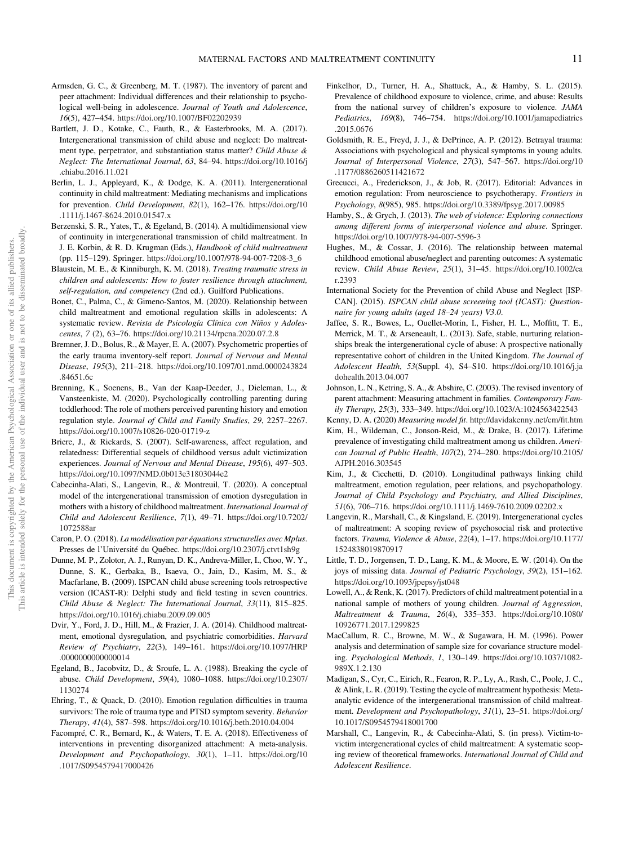- <span id="page-11-0"></span>Armsden, G. C., & Greenberg, M. T. (1987). The inventory of parent and peer attachment: Individual differences and their relationship to psychological well-being in adolescence. Journal of Youth and Adolescence, 16(5), 427–454. <https://doi.org/10.1007/BF02202939>
- Bartlett, J. D., Kotake, C., Fauth, R., & Easterbrooks, M. A. (2017). Intergenerational transmission of child abuse and neglect: Do maltreatment type, perpetrator, and substantiation status matter? Child Abuse & Neglect: The International Journal, 63, 84–94. [https://doi.org/10.1016/j](https://doi.org/10.1016/j.chiabu.2016.11.021) [.chiabu.2016.11.021](https://doi.org/10.1016/j.chiabu.2016.11.021)
- Berlin, L. J., Appleyard, K., & Dodge, K. A. (2011). Intergenerational continuity in child maltreatment: Mediating mechanisms and implications for prevention. Child Development, 82(1), 162–176. [https://doi.org/10](https://doi.org/10.1111/j.1467-8624.2010.01547.x) [.1111/j.1467-8624.2010.01547.x](https://doi.org/10.1111/j.1467-8624.2010.01547.x)
- Berzenski, S. R., Yates, T., & Egeland, B. (2014). A multidimensional view of continuity in intergenerational transmission of child maltreatment. In J. E. Korbin, & R. D. Krugman (Eds.), Handbook of child maltreatment (pp. 115–129). Springer. [https://doi.org/10.1007/978-94-007-7208-3\\_6](https://doi.org/10.1007/978-94-007-7208-3_6)
- Blaustein, M. E., & Kinniburgh, K. M. (2018). Treating traumatic stress in children and adolescents: How to foster resilience through attachment, self-regulation, and competency (2nd ed.). Guilford Publications.
- Bonet, C., Palma, C., & Gimeno-Santos, M. (2020). Relationship between child maltreatment and emotional regulation skills in adolescents: A systematic review. Revista de Psicología Clínica con Niños y Adolescentes, 7 (2), 63–76. <https://doi.org/10.21134/rpcna.2020.07.2.8>
- Bremner, J. D., Bolus, R., & Mayer, E. A. (2007). Psychometric properties of the early trauma inventory-self report. Journal of Nervous and Mental Disease, 195(3), 211–218. [https://doi.org/10.1097/01.nmd.0000243824](https://doi.org/10.1097/01.nmd.0000243824.84651.6c) [.84651.6c](https://doi.org/10.1097/01.nmd.0000243824.84651.6c)
- Brenning, K., Soenens, B., Van der Kaap-Deeder, J., Dieleman, L., & Vansteenkiste, M. (2020). Psychologically controlling parenting during toddlerhood: The role of mothers perceived parenting history and emotion regulation style. Journal of Child and Family Studies, 29, 2257–2267. <https://doi.org/10.1007/s10826-020-01719-z>
- Briere, J., & Rickards, S. (2007). Self-awareness, affect regulation, and relatedness: Differential sequels of childhood versus adult victimization experiences. Journal of Nervous and Mental Disease, 195(6), 497–503. <https://doi.org/10.1097/NMD.0b013e31803044e2>
- Cabecinha-Alati, S., Langevin, R., & Montreuil, T. (2020). A conceptual model of the intergenerational transmission of emotion dysregulation in mothers with a history of childhood maltreatment. International Journal of Child and Adolescent Resilience, 7(1), 49–71. [https://doi.org/10.7202/](https://doi.org/10.7202/1072588ar) [1072588ar](https://doi.org/10.7202/1072588ar)
- Caron, P. O. (2018). La modélisation par équations structurelles avec Mplus. Presses de l'Université du Québec. <https://doi.org/10.2307/j.ctvt1sh9g>
- Dunne, M. P., Zolotor, A. J., Runyan, D. K., Andreva-Miller, I., Choo, W. Y., Dunne, S. K., Gerbaka, B., Isaeva, O., Jain, D., Kasim, M. S., & Macfarlane, B. (2009). ISPCAN child abuse screening tools retrospective version (ICAST-R): Delphi study and field testing in seven countries. Child Abuse & Neglect: The International Journal, 33(11), 815–825. <https://doi.org/10.1016/j.chiabu.2009.09.005>
- Dvir, Y., Ford, J. D., Hill, M., & Frazier, J. A. (2014). Childhood maltreatment, emotional dysregulation, and psychiatric comorbidities. Harvard Review of Psychiatry, 22(3), 149–161. [https://doi.org/10.1097/HRP](https://doi.org/10.1097/HRP.0000000000000014) [.0000000000000014](https://doi.org/10.1097/HRP.0000000000000014)
- Egeland, B., Jacobvitz, D., & Sroufe, L. A. (1988). Breaking the cycle of abuse. Child Development, 59(4), 1080–1088. [https://doi.org/10.2307/](https://doi.org/10.2307/1130274) [1130274](https://doi.org/10.2307/1130274)
- Ehring, T., & Quack, D. (2010). Emotion regulation difficulties in trauma survivors: The role of trauma type and PTSD symptom severity. Behavior Therapy, 41(4), 587–598. <https://doi.org/10.1016/j.beth.2010.04.004>
- Facompré, C. R., Bernard, K., & Waters, T. E. A. (2018). Effectiveness of interventions in preventing disorganized attachment: A meta-analysis. Development and Psychopathology, 30(1), 1–11. [https://doi.org/10](https://doi.org/10.1017/S0954579417000426) [.1017/S0954579417000426](https://doi.org/10.1017/S0954579417000426)
- Finkelhor, D., Turner, H. A., Shattuck, A., & Hamby, S. L. (2015). Prevalence of childhood exposure to violence, crime, and abuse: Results from the national survey of children's exposure to violence. JAMA Pediatrics, 169(8), 746-754. [https://doi.org/10.1001/jamapediatrics](https://doi.org/10.1001/jamapediatrics.2015.0676) [.2015.0676](https://doi.org/10.1001/jamapediatrics.2015.0676)
- Goldsmith, R. E., Freyd, J. J., & DePrince, A. P. (2012). Betrayal trauma: Associations with psychological and physical symptoms in young adults. Journal of Interpersonal Violence, 27(3), 547–567. [https://doi.org/10](https://doi.org/10.1177/0886260511421672) [.1177/0886260511421672](https://doi.org/10.1177/0886260511421672)
- Grecucci, A., Frederickson, J., & Job, R. (2017). Editorial: Advances in emotion regulation: From neuroscience to psychotherapy. Frontiers in Psychology, 8(985), 985. <https://doi.org/10.3389/fpsyg.2017.00985>
- Hamby, S., & Grych, J. (2013). The web of violence: Exploring connections among different forms of interpersonal violence and abuse. Springer. <https://doi.org/10.1007/978-94-007-5596-3>
- Hughes, M., & Cossar, J. (2016). The relationship between maternal childhood emotional abuse/neglect and parenting outcomes: A systematic review. Child Abuse Review, 25(1), 31–45. [https://doi.org/10.1002/ca](https://doi.org/10.1002/car.2393) [r.2393](https://doi.org/10.1002/car.2393)
- International Society for the Prevention of child Abuse and Neglect [ISP-CAN]. (2015). ISPCAN child abuse screening tool (ICAST): Questionnaire for young adults (aged 18–24 years) V3.0.
- Jaffee, S. R., Bowes, L., Ouellet-Morin, I., Fisher, H. L., Moffitt, T. E., Merrick, M. T., & Arseneault, L. (2013). Safe, stable, nurturing relationships break the intergenerational cycle of abuse: A prospective nationally representative cohort of children in the United Kingdom. The Journal of Adolescent Health, 53(Suppl. 4), S4–S10. [https://doi.org/10.1016/j.ja](https://doi.org/10.1016/j.jadohealth.2013.04.007) [dohealth.2013.04.007](https://doi.org/10.1016/j.jadohealth.2013.04.007)
- Johnson, L. N., Ketring, S. A., & Abshire, C. (2003). The revised inventory of parent attachment: Measuring attachment in families. Contemporary Family Therapy, 25(3), 333–349. <https://doi.org/10.1023/A:1024563422543>

Kenny, D. A. (2020) Measuring model fit. [http://davidakenny.net/cm/](http://davidakenny.net/cm/fit.htm)fit.htm

- Kim, H., Wildeman, C., Jonson-Reid, M., & Drake, B. (2017). Lifetime prevalence of investigating child maltreatment among us children. American Journal of Public Health, 107(2), 274–280. [https://doi.org/10.2105/](https://doi.org/10.2105/AJPH.2016.303545) [AJPH.2016.303545](https://doi.org/10.2105/AJPH.2016.303545)
- Kim, J., & Cicchetti, D. (2010). Longitudinal pathways linking child maltreatment, emotion regulation, peer relations, and psychopathology. Journal of Child Psychology and Psychiatry, and Allied Disciplines, 51(6), 706–716. <https://doi.org/10.1111/j.1469-7610.2009.02202.x>
- Langevin, R., Marshall, C., & Kingsland, E. (2019). Intergenerational cycles of maltreatment: A scoping review of psychosocial risk and protective factors. Trauma, Violence & Abuse, 22(4), 1–17. [https://doi.org/10.1177/](https://doi.org/10.1177/1524838019870917) [1524838019870917](https://doi.org/10.1177/1524838019870917)
- Little, T. D., Jorgensen, T. D., Lang, K. M., & Moore, E. W. (2014). On the joys of missing data. Journal of Pediatric Psychology, 39(2), 151–162. <https://doi.org/10.1093/jpepsy/jst048>
- Lowell, A., & Renk, K. (2017). Predictors of child maltreatment potential in a national sample of mothers of young children. Journal of Aggression, Maltreatment & Trauma, 26(4), 335–353. [https://doi.org/10.1080/](https://doi.org/10.1080/10926771.2017.1299825) [10926771.2017.1299825](https://doi.org/10.1080/10926771.2017.1299825)
- MacCallum, R. C., Browne, M. W., & Sugawara, H. M. (1996). Power analysis and determination of sample size for covariance structure modeling. Psychological Methods, 1, 130–149. [https://doi.org/10.1037/1082-](https://doi.org/10.1037/1082-989X.1.2.130) [989X.1.2.130](https://doi.org/10.1037/1082-989X.1.2.130)
- Madigan, S., Cyr, C., Eirich, R., Fearon, R. P., Ly, A., Rash, C., Poole, J. C., & Alink, L. R. (2019). Testing the cycle of maltreatment hypothesis: Metaanalytic evidence of the intergenerational transmission of child maltreatment. Development and Psychopathology, 31(1), 23–51. [https://doi.org/](https://doi.org/10.1017/S0954579418001700) [10.1017/S0954579418001700](https://doi.org/10.1017/S0954579418001700)
- Marshall, C., Langevin, R., & Cabecinha-Alati, S. (in press). Victim-tovictim intergenerational cycles of child maltreatment: A systematic scoping review of theoretical frameworks. International Journal of Child and Adolescent Resilience.